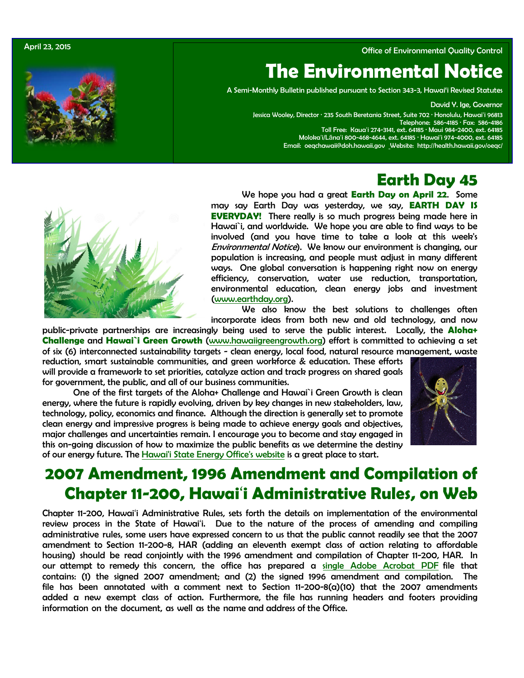

## April 23, 2015 Office of Environmental Quality Control

# **The Environmental Notice**

A Semi-Monthly Bulletin published pursuant to Section 343-3, Hawai'i Revised Statutes

David Y. Ige, Governor

Jessica Wooley, Director · 235 South Beretania Street, Suite 702 · Honolulu, Hawaiʻi 96813 Telephone: 586-4185 · Fax: 586-4186 Toll Free: Kauaʻi 274-3141, ext. 64185 · Maui 984-2400, ext. 64185 Molokaʻi/Lānaʻi 800-468-4644, ext. 64185 · Hawaiʻi 974-4000, ext. 64185 Email: [oeqchawaii@doh.hawaii.gov](mailto:oeqchawaii@doh.hawaii.gov) Website:<http://health.hawaii.gov/oeqc/>

# **Earth Day 45**



We hope you had a great **Earth Day on April 22**. Some may say Earth Day was yesterday, we say, **EARTH DAY IS EVERYDAY!** There really is so much progress being made here in Hawai`i, and worldwide. We hope you are able to find ways to be involved (and you have time to take a look at this week's Environmental Notice). We know our environment is changing, our population is increasing, and people must adjust in many different ways. One global conversation is happening right now on energy efficiency, conservation, water use reduction, transportation, environmental education, clean energy jobs and investment [\(www.earthday.org\)](http://www.earthday.org/).

We also know the best solutions to challenges often incorporate ideas from both new and old technology, and now

public-private partnerships are increasingly being used to serve the public interest. Locally, the **Aloha+ Challenge** and **Hawai`i Green Growth** [\(www.hawaiigreengrowth.org\)](http://www.hawaiigreengrowth.org/) effort is committed to achieving a set of six (6) interconnected sustainability targets - clean energy, local food, natural resource management, waste reduction, smart sustainable communities, and green workforce & education. These efforts will provide a framework to set priorities, catalyze action and track progress on shared goals

for government, the public, and all of our business communities.

One of the first targets of the Aloha+ Challenge and Hawai`i Green Growth is clean energy, where the future is rapidly evolving, driven by key changes in new stakeholders, law, technology, policy, economics and finance. Although the direction is generally set to promote clean energy and impressive progress is being made to achieve energy goals and objectives, major challenges and uncertainties remain. I encourage you to become and stay engaged in this on-going discussion of how to maximize the public benefits as we determine the destiny of our energy future. The [Hawai'i State Energy Office's website](http://energy.hawaii.gov/) is a great place to start.



# **2007 Amendment, 1996 Amendment and Compilation of Chapter 11-200, Hawai**'**i Administrative Rules, on Web**

Chapter 11-200, Hawai'i Administrative Rules, sets forth the details on implementation of the environmental review process in the State of Hawai'i. Due to the nature of the process of amending and compiling administrative rules, some users have expressed concern to us that the public cannot readily see that the 2007 amendment to Section 11-200-8, HAR (adding an eleventh exempt class of action relating to affordable housing) should be read conjointly with the 1996 amendment and compilation of Chapter 11-200, HAR. In our attempt to remedy this concern, t[he office has prepared a](http://oeqc.doh.hawaii.gov/Shared%20Documents/Misc_Documents/Current%20Hawaii%20Administrative%20Rules,%20Chapters%2011-200%20and%2011-201,%20HAR/CHAPTER%2011-200%20HAWAII%20ADMINISTRATIVE%20RULES.pdf) single Adobe Acrobat PDF file that contains: (1) the signed 2007 amendment; and (2) the signed 1996 amendment and compilation. The file has been annotated with a comment next to Section 11-200-8(a)(10) that the 2007 amendments added a new exempt class of action. Furthermore, the file has running headers and footers providing information on the document, as well as the name and address of the Office.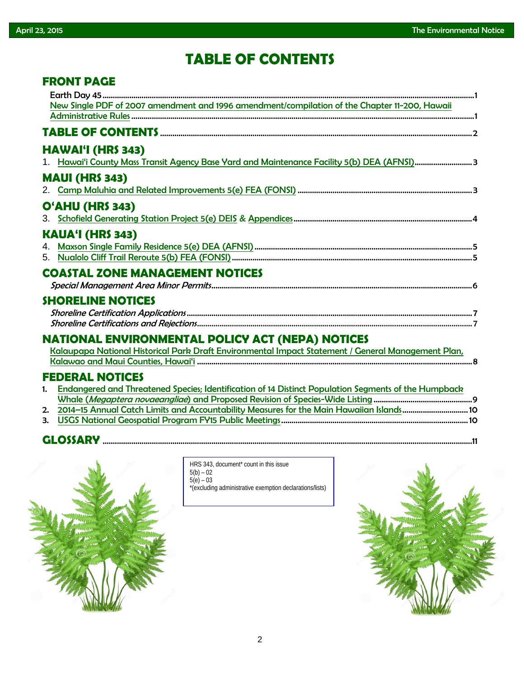**FRONT PAGE**

# **TABLE OF CONTENTS**

|    | FRYNT PAUL                                                                                           |
|----|------------------------------------------------------------------------------------------------------|
|    |                                                                                                      |
|    | New Single PDF of 2007 amendment and 1996 amendment/compilation of the Chapter 11-200, Hawaii        |
|    |                                                                                                      |
|    |                                                                                                      |
|    | <b>HAWAI'I (HRS 343)</b>                                                                             |
|    | 1. Hawai'i County Mass Transit Agency Base Yard and Maintenance Facility 5(b) DEA (AFNSI)3           |
|    | <b>MAUI (HRS 343)</b>                                                                                |
|    |                                                                                                      |
|    | O'AHU (HRS 343)                                                                                      |
|    |                                                                                                      |
|    | <b>KAUA'I (HRS 343)</b>                                                                              |
|    |                                                                                                      |
|    |                                                                                                      |
|    | <b>COASTAL ZONE MANAGEMENT NOTICES</b>                                                               |
|    |                                                                                                      |
|    | <b>SHORELINE NOTICES</b>                                                                             |
|    |                                                                                                      |
|    |                                                                                                      |
|    | <b>NATIONAL ENVIRONMENTAL POLICY ACT (NEPA) NOTICES</b>                                              |
|    |                                                                                                      |
|    |                                                                                                      |
|    | <b>FEDERAL NOTICES</b>                                                                               |
| 1. | Endangered and Threatened Species; Identification of 14 Distinct Population Segments of the Humpback |
|    |                                                                                                      |
|    | 2. 2014-15 Annual Catch Limits and Accountability Measures for the Main Hawaiian Islands 10          |

3. [USGS National Geospatial Program FY15 Public Meetings.](http://www.gpo.gov/fdsys/pkg/FR-2015-04-15/pdf/2015-08668.pdf)..........................................................................................10

# **GLOSSARY** ....................................................................................................................................................................................11



HRS 343, document<sup>\*</sup> count in this issue  $5(b) - 02$  $5(e) - 03$ \*(excluding administrative exemption declarations/lists)

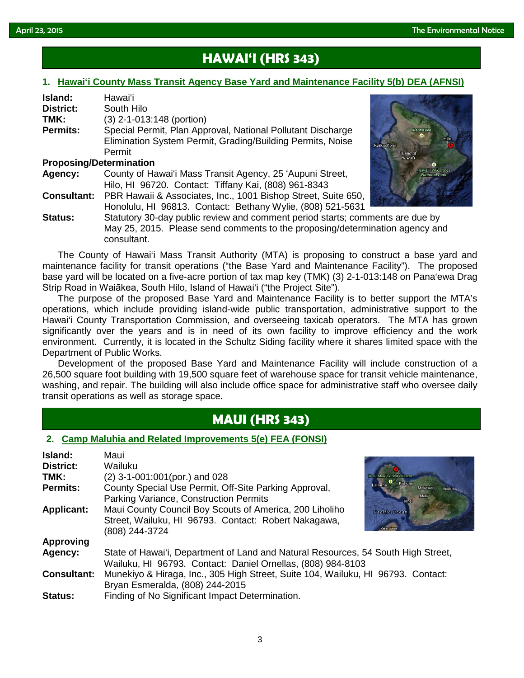# **HAWAI'I (HRS 343)**

### **1. [Hawai'i County Mass Transit Agency Base Yard and Maintenance Facility 5\(b\) DEA \(AFNSI\)](http://oeqc.doh.hawaii.gov/Shared%20Documents/EA_and_EIS_Online_Library/Hawaii/2010s/2015-04-23-HA-5B-DEA-Hawaii-County-Mass-Transit-Agency-Base-Yard-and-Maintenance-Facility.pdf)**

| Island:                        | Hawai'i                                                       |                   |
|--------------------------------|---------------------------------------------------------------|-------------------|
| <b>District:</b>               | South Hilo                                                    |                   |
| TMK:                           | (3) 2-1-013:148 (portion)                                     |                   |
| <b>Permits:</b>                | Special Permit, Plan Approval, National Pollutant Discharge   |                   |
|                                | Elimination System Permit, Grading/Building Permits, Noise    | <b>Kailua Kor</b> |
|                                | Permit                                                        |                   |
| <b>Proposing/Determination</b> |                                                               |                   |
| Agency:                        | County of Hawai'i Mass Transit Agency, 25 'Aupuni Street,     |                   |
|                                | Hilo, HI 96720. Contact: Tiffany Kai, (808) 961-8343          |                   |
| <b>Consultant:</b>             | PBR Hawaii & Associates, Inc., 1001 Bishop Street, Suite 650, |                   |
|                                | Honolulu, HI 96813. Contact: Bethany Wylie, (808) 521-5631    |                   |
|                                |                                                               |                   |



**Status:** Statutory 30-day public review and comment period starts; comments are due by May 25, 2015. Please send comments to the proposing/determination agency and consultant.

The County of Hawai'i Mass Transit Authority (MTA) is proposing to construct a base yard and maintenance facility for transit operations ("the Base Yard and Maintenance Facility"). The proposed base yard will be located on a five-acre portion of tax map key (TMK) (3) 2-1-013:148 on Pana'ewa Drag Strip Road in Waiākea, South Hilo, Island of Hawai'i ("the Project Site").

The purpose of the proposed Base Yard and Maintenance Facility is to better support the MTA's operations, which include providing island-wide public transportation, administrative support to the Hawai'i County Transportation Commission, and overseeing taxicab operators. The MTA has grown significantly over the years and is in need of its own facility to improve efficiency and the work environment. Currently, it is located in the Schultz Siding facility where it shares limited space with the Department of Public Works.

Development of the proposed Base Yard and Maintenance Facility will include construction of a 26,500 square foot building with 19,500 square feet of warehouse space for transit vehicle maintenance, washing, and repair. The building will also include office space for administrative staff who oversee daily transit operations as well as storage space.

# **MAUI (HRS 343)**

### **2. [Camp Maluhia and Related Improvements 5\(e\) FEA \(FONSI\)](http://oeqc.doh.hawaii.gov/Shared%20Documents/EA_and_EIS_Online_Library/Maui/2010s/2015-04-23-MA-5E-FEA-Camp-Maluhia-and-Related-Improvements.pdf)**

| Island:<br><b>District:</b> | Maui<br>Wailuku                                                                                                                                    |  |  |
|-----------------------------|----------------------------------------------------------------------------------------------------------------------------------------------------|--|--|
| TMK:                        | $(2)$ 3-1-001:001(por.) and 028<br><b>West Maui Forest Reserve</b>                                                                                 |  |  |
| <b>Permits:</b>             | Lahaina C Kahului<br>County Special Use Permit, Off-Site Parking Approval,<br>Makawao<br>Maui<br>Parking Variance, Construction Permits<br>Kinei   |  |  |
| <b>Applicant:</b>           | Maui County Council Boy Scouts of America, 200 Liholiho<br>Pacific Ocean<br>Street, Wailuku, HI 96793. Contact: Robert Nakagawa,<br>(808) 244-3724 |  |  |
| <b>Approving</b>            |                                                                                                                                                    |  |  |
| Agency:                     | State of Hawai'i, Department of Land and Natural Resources, 54 South High Street,<br>Wailuku, HI 96793. Contact: Daniel Ornellas, (808) 984-8103   |  |  |
| <b>Consultant:</b>          | Munekiyo & Hiraga, Inc., 305 High Street, Suite 104, Wailuku, HI 96793. Contact:<br>Bryan Esmeralda, (808) 244-2015                                |  |  |
| <b>Status:</b>              | Finding of No Significant Impact Determination.                                                                                                    |  |  |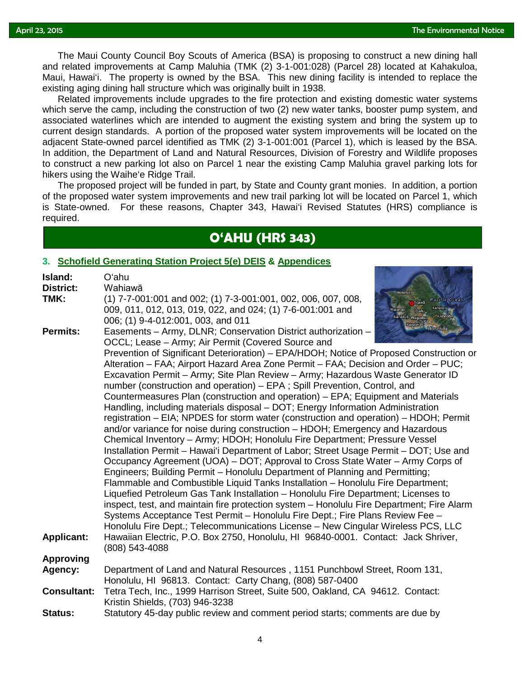The Maui County Council Boy Scouts of America (BSA) is proposing to construct a new dining hall<br>related improvements at Camp Malubia (TMK (2) 3-1-001:028) (Parcel 28) located at Kahakuloa and related improvements at Camp Maluhia (TMK (2) 3-1-001:028) (Parcel 28) located at Kahakuloa, Maui, Hawai'i. The property is owned by the BSA. This new dining facility is intended to replace the existing aging dining hall structure which was originally built in 1938.

Related improvements include upgrades to the fire protection and existing domestic water systems which serve the camp, including the construction of two (2) new water tanks, booster pump system, and associated waterlines which are intended to augment the existing system and bring the system up to current design standards. A portion of the proposed water system improvements will be located on the adjacent State-owned parcel identified as TMK (2) 3-1-001:001 (Parcel 1), which is leased by the BSA. In addition, the Department of Land and Natural Resources, Division of Forestry and Wildlife proposes to construct a new parking lot also on Parcel 1 near the existing Camp Maluhia gravel parking lots for hikers using the Waihe'e Ridge Trail.

The proposed project will be funded in part, by State and County grant monies. In addition, a portion of the proposed water system improvements and new trail parking lot will be located on Parcel 1, which is State-owned. For these reasons, Chapter 343, Hawai'i Revised Statutes (HRS) compliance is required.

# **O'AHU (HRS 343)**

## **3. [Schofield Generating Station Project 5\(e\) DEIS](http://oeqc.doh.hawaii.gov/Shared%20Documents/EA_and_EIS_Online_Library/Oahu/2010s/2015-04-23-OA-5E-DEIS-Schofield-Generating-Station.pdf) & [Appendices](http://oeqc.doh.hawaii.gov/Shared%20Documents/EA_and_EIS_Online_Library/Oahu/2010s/2015-04-23-OA-5E-DEIS-Schofield-Generating-Station-Appendices.pdf)**

| Island:            | O'ahu                                                                                                                                                                         |  |  |  |  |  |
|--------------------|-------------------------------------------------------------------------------------------------------------------------------------------------------------------------------|--|--|--|--|--|
| <b>District:</b>   | Wahiawā                                                                                                                                                                       |  |  |  |  |  |
| TMK:               | (1) 7-7-001:001 and 002; (1) 7-3-001:001, 002, 006, 007, 008,<br>Pacific Ocean<br><b>Ta</b> hiawā                                                                             |  |  |  |  |  |
|                    | Kahalu'u<br>009, 011, 012, 013, 019, 022, and 024; (1) 7-6-001:001 and<br>$O'$ ahu<br><b>Naianae</b>                                                                          |  |  |  |  |  |
|                    | Nanakuli waipahu Kaneohe<br>006; (1) 9-4-012:001, 003, and 011                                                                                                                |  |  |  |  |  |
| <b>Permits:</b>    | Kapolei Honolulu<br>Easements - Army, DLNR; Conservation District authorization -<br>OCCL; Lease - Army; Air Permit (Covered Source and                                       |  |  |  |  |  |
|                    | Prevention of Significant Deterioration) – EPA/HDOH; Notice of Proposed Construction or<br>Alteration – FAA; Airport Hazard Area Zone Permit – FAA; Decision and Order – PUC; |  |  |  |  |  |
|                    | Excavation Permit - Army; Site Plan Review - Army; Hazardous Waste Generator ID                                                                                               |  |  |  |  |  |
|                    | number (construction and operation) - EPA; Spill Prevention, Control, and                                                                                                     |  |  |  |  |  |
|                    | Countermeasures Plan (construction and operation) – EPA; Equipment and Materials                                                                                              |  |  |  |  |  |
|                    | Handling, including materials disposal - DOT; Energy Information Administration                                                                                               |  |  |  |  |  |
|                    | registration – EIA; NPDES for storm water (construction and operation) – HDOH; Permit                                                                                         |  |  |  |  |  |
|                    | and/or variance for noise during construction - HDOH; Emergency and Hazardous                                                                                                 |  |  |  |  |  |
|                    | Chemical Inventory - Army; HDOH; Honolulu Fire Department; Pressure Vessel<br>Installation Permit - Hawai'i Department of Labor; Street Usage Permit - DOT; Use and           |  |  |  |  |  |
|                    | Occupancy Agreement (UOA) - DOT; Approval to Cross State Water - Army Corps of                                                                                                |  |  |  |  |  |
|                    | Engineers; Building Permit – Honolulu Department of Planning and Permitting;                                                                                                  |  |  |  |  |  |
|                    | Flammable and Combustible Liquid Tanks Installation - Honolulu Fire Department;                                                                                               |  |  |  |  |  |
|                    | Liquefied Petroleum Gas Tank Installation - Honolulu Fire Department; Licenses to                                                                                             |  |  |  |  |  |
|                    | inspect, test, and maintain fire protection system - Honolulu Fire Department; Fire Alarm                                                                                     |  |  |  |  |  |
|                    | Systems Acceptance Test Permit - Honolulu Fire Dept.; Fire Plans Review Fee -                                                                                                 |  |  |  |  |  |
|                    | Honolulu Fire Dept.; Telecommunications License - New Cingular Wireless PCS, LLC                                                                                              |  |  |  |  |  |
| <b>Applicant:</b>  | Hawaiian Electric, P.O. Box 2750, Honolulu, HI 96840-0001. Contact: Jack Shriver,                                                                                             |  |  |  |  |  |
|                    | (808) 543-4088                                                                                                                                                                |  |  |  |  |  |
| <b>Approving</b>   |                                                                                                                                                                               |  |  |  |  |  |
| Agency:            | Department of Land and Natural Resources, 1151 Punchbowl Street, Room 131,                                                                                                    |  |  |  |  |  |
|                    | Honolulu, HI 96813. Contact: Carty Chang, (808) 587-0400                                                                                                                      |  |  |  |  |  |
| <b>Consultant:</b> | Tetra Tech, Inc., 1999 Harrison Street, Suite 500, Oakland, CA 94612. Contact:<br>Kristin Shields, (703) 946-3238                                                             |  |  |  |  |  |
| <b>Status:</b>     | Statutory 45-day public review and comment period starts; comments are due by                                                                                                 |  |  |  |  |  |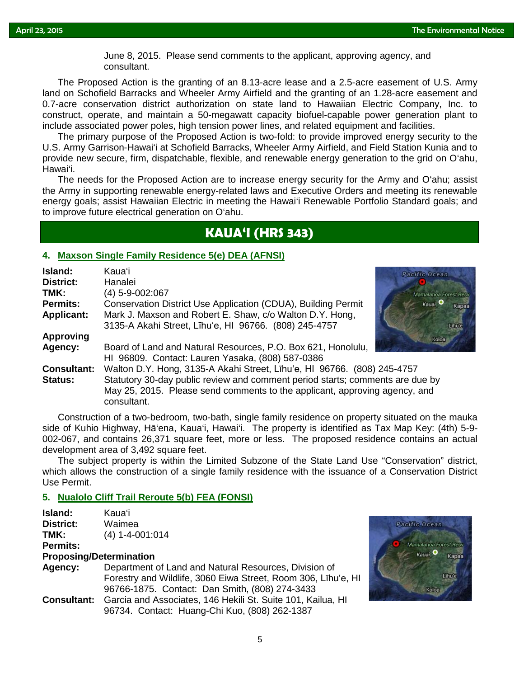June 8, 2015. Please send comments to the applicant, approving agency, and consultant consultant.

The Proposed Action is the granting of an 8.13-acre lease and a 2.5-acre easement of U.S. Army land on Schofield Barracks and Wheeler Army Airfield and the granting of an 1.28-acre easement and 0.7-acre conservation district authorization on state land to Hawaiian Electric Company, Inc. to construct, operate, and maintain a 50-megawatt capacity biofuel-capable power generation plant to include associated power poles, high tension power lines, and related equipment and facilities.

The primary purpose of the Proposed Action is two-fold: to provide improved energy security to the U.S. Army Garrison-Hawai'i at Schofield Barracks, Wheeler Army Airfield, and Field Station Kunia and to provide new secure, firm, dispatchable, flexible, and renewable energy generation to the grid on O'ahu, Hawai'i.

The needs for the Proposed Action are to increase energy security for the Army and O'ahu; assist the Army in supporting renewable energy-related laws and Executive Orders and meeting its renewable energy goals; assist Hawaiian Electric in meeting the Hawai'i Renewable Portfolio Standard goals; and to improve future electrical generation on O'ahu.

# **KAUA'I (HRS 343)**

### **4. [Maxson Single Family Residence 5\(e\) DEA \(AFNSI\)](http://oeqc.doh.hawaii.gov/Shared%20Documents/EA_and_EIS_Online_Library/Kauai/2010s/2015-04-23-KA-5E-DEA-Maxson-Single-Family-Residence.pdf)**

| Island:            | Kauaʻi                                                                        | Pacific Ocea       |  |
|--------------------|-------------------------------------------------------------------------------|--------------------|--|
| <b>District:</b>   | Hanalei                                                                       |                    |  |
| TMK:               | (4) 5-9-002:067                                                               | Mamalahoa          |  |
| <b>Permits:</b>    | Conservation District Use Application (CDUA), Building Permit                 | Kauai <sup>O</sup> |  |
| <b>Applicant:</b>  | Mark J. Maxson and Robert E. Shaw, c/o Walton D.Y. Hong,                      |                    |  |
|                    | 3135-A Akahi Street, Līhu'e, HI 96766. (808) 245-4757                         |                    |  |
| <b>Approving</b>   |                                                                               | Kolc               |  |
| Agency:            | Board of Land and Natural Resources, P.O. Box 621, Honolulu,                  |                    |  |
|                    | HI 96809. Contact: Lauren Yasaka, (808) 587-0386                              |                    |  |
| <b>Consultant:</b> | Walton D.Y. Hong, 3135-A Akahi Street, Līhu'e, HI 96766. (808) 245-4757       |                    |  |
| Status:            | Statutory 30-day public review and comment period starts; comments are due by |                    |  |
|                    | May 25, 2015. Please send comments to the applicant, approving agency, and    |                    |  |
|                    | consultant.                                                                   |                    |  |

Construction of a two-bedroom, two-bath, single family residence on property situated on the mauka side of Kuhio Highway, Hā'ena, Kaua'i, Hawai'i. The property is identified as Tax Map Key: (4th) 5-9- 002-067, and contains 26,371 square feet, more or less. The proposed residence contains an actual development area of 3,492 square feet.

The subject property is within the Limited Subzone of the State Land Use "Conservation" district, which allows the construction of a single family residence with the issuance of a Conservation District Use Permit.

## **5. [Nualolo Cliff Trail Reroute 5\(b\) FEA \(FONSI\)](http://oeqc.doh.hawaii.gov/Shared%20Documents/EA_and_EIS_Online_Library/Kauai/2010s/2015-04-23-KA-5B-FEA-Nualolo-Cliff-Trail-Reroute.pdf)**

| Island:         | Kauaʻi                  |  |
|-----------------|-------------------------|--|
| District:       | Waimea                  |  |
| TMK:            | $(4)$ 1-4-001:014       |  |
| <b>Permits:</b> |                         |  |
|                 | Dranacina/Determination |  |

### **Proposing/Determination**

| Agency: | Department of Land and Natural Resources, Division of                          |  |  |  |
|---------|--------------------------------------------------------------------------------|--|--|--|
|         | Forestry and Wildlife, 3060 Eiwa Street, Room 306, Līhu'e, HI                  |  |  |  |
|         | 96766-1875. Contact: Dan Smith, (808) 274-3433                                 |  |  |  |
|         | <b>Consultant:</b> Garcia and Associates, 146 Hekili St. Suite 101, Kailua, HI |  |  |  |
|         | 96734. Contact: Huang-Chi Kuo, (808) 262-1387                                  |  |  |  |



le Oeean

nalahoa Forest F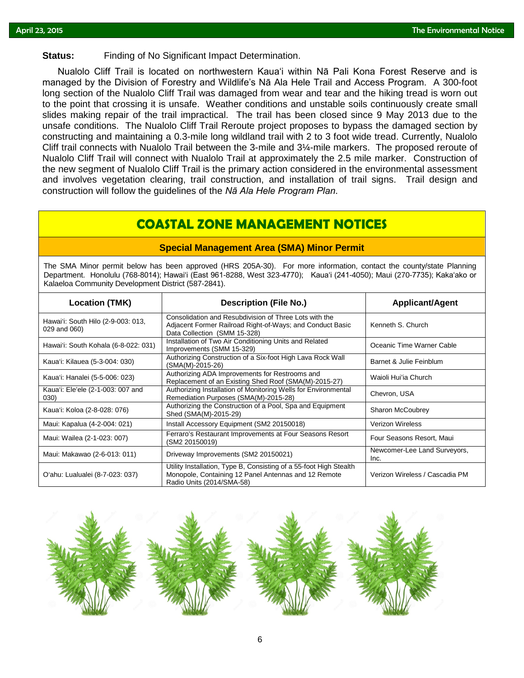# Status: Finding of No Significant Impact Determination.

Nualolo Cliff Trail is located on northwestern Kauaʻi within Nā Pali Kona Forest Reserve and is managed by the Division of Forestry and Wildlife's Nā Ala Hele Trail and Access Program. A 300-foot long section of the Nualolo Cliff Trail was damaged from wear and tear and the hiking tread is worn out to the point that crossing it is unsafe. Weather conditions and unstable soils continuously create small slides making repair of the trail impractical. The trail has been closed since 9 May 2013 due to the unsafe conditions. The Nualolo Cliff Trail Reroute project proposes to bypass the damaged section by constructing and maintaining a 0.3-mile long wildland trail with 2 to 3 foot wide tread. Currently, Nualolo Cliff trail connects with Nualolo Trail between the 3-mile and 3¼-mile markers. The proposed reroute of Nualolo Cliff Trail will connect with Nualolo Trail at approximately the 2.5 mile marker. Construction of the new segment of Nualolo Cliff Trail is the primary action considered in the environmental assessment and involves vegetation clearing, trail construction, and installation of trail signs. Trail design and construction will follow the guidelines of the *Nā Ala Hele Program Plan*.

# **COASTAL ZONE MANAGEMENT NOTICES**

### **Special Management Area (SMA) Minor Permit**

The SMA Minor permit below has been approved (HRS 205A-30). For more information, contact the county/state Planning Department. Honolulu (768-8014); Hawaiʻi (East 961-8288, West 323-4770); Kauaʻi (241-4050); Maui (270-7735); Kakaʻako or Kalaeloa Community Development District (587-2841).

| <b>Location (TMK)</b>                              | <b>Description (File No.)</b>                                                                                                                           | <b>Applicant/Agent</b>               |
|----------------------------------------------------|---------------------------------------------------------------------------------------------------------------------------------------------------------|--------------------------------------|
| Hawai'i: South Hilo (2-9-003: 013,<br>029 and 060) | Consolidation and Resubdivision of Three Lots with the<br>Adjacent Former Railroad Right-of-Ways; and Conduct Basic<br>Data Collection (SMM 15-328)     | Kenneth S. Church                    |
| Hawai'i: South Kohala (6-8-022: 031)               | Installation of Two Air Conditioning Units and Related<br>Improvements (SMM 15-329)                                                                     | Oceanic Time Warner Cable            |
| Kaua'i: Kilauea (5-3-004: 030)                     | Authorizing Construction of a Six-foot High Lava Rock Wall<br>(SMA(M)-2015-26)                                                                          | Barnet & Julie Feinblum              |
| Kaua'i: Hanalei (5-5-006: 023)                     | Authorizing ADA Improvements for Restrooms and<br>Replacement of an Existing Shed Roof (SMA(M)-2015-27)                                                 | Waioli Hui'ia Church                 |
| Kaua'i: Ele'ele (2-1-003: 007 and<br>030)          | Authorizing Installation of Monitoring Wells for Environmental<br>Remediation Purposes (SMA(M)-2015-28)                                                 | Chevron, USA                         |
| Kaua'i: Koloa (2-8-028: 076)                       | Authorizing the Construction of a Pool, Spa and Equipment<br>Shed (SMA(M)-2015-29)                                                                      | Sharon McCoubrey                     |
| Maui: Kapalua (4-2-004: 021)                       | Install Accessory Equipment (SM2 20150018)                                                                                                              | <b>Verizon Wireless</b>              |
| Maui: Wailea (2-1-023: 007)                        | Ferraro's Restaurant Improvements at Four Seasons Resort<br>(SM2 20150019)                                                                              | Four Seasons Resort, Maui            |
| Maui: Makawao (2-6-013: 011)                       | Driveway Improvements (SM2 20150021)                                                                                                                    | Newcomer-Lee Land Surveyors,<br>Inc. |
| O'ahu: Lualualei (8-7-023: 037)                    | Utility Installation, Type B, Consisting of a 55-foot High Stealth<br>Monopole, Containing 12 Panel Antennas and 12 Remote<br>Radio Units (2014/SMA-58) | Verizon Wireless / Cascadia PM       |

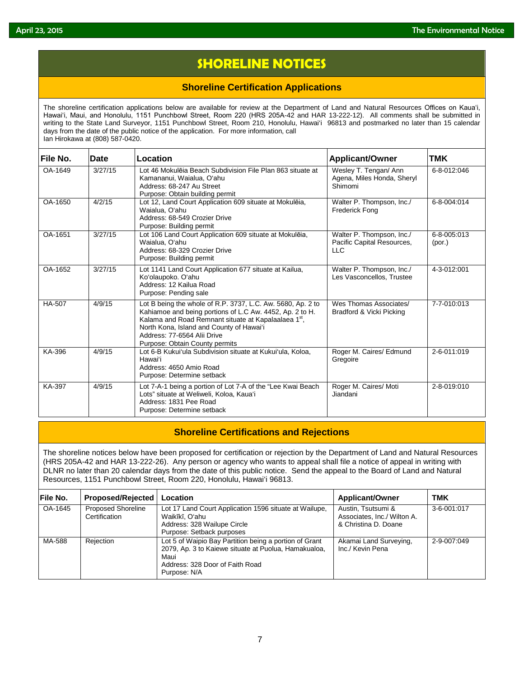# **SHORELINE NOTICES**

## **Shoreline Certification Applications**

The shoreline certification applications below are available for review at the Department of Land and Natural Resources Offices on Kauaʻi, Hawaiʻi, Maui, and Honolulu, 1151 Punchbowl Street, Room 220 (HRS 205A-42 and HAR 13-222-12). All comments shall be submitted in writing to the State Land Surveyor, 1151 Punchbowl Street, Room 210, Honolulu, Hawai'i 96813 and postmarked no later than 15 calendar days from the date of the public notice of the application. For more information, call Ian Hirokawa at (808) 587-0420.

| File No. | Date    | Location                                                                                                                                                                                                                                                                                    | <b>Applicant/Owner</b>                                                | <b>TMK</b>            |
|----------|---------|---------------------------------------------------------------------------------------------------------------------------------------------------------------------------------------------------------------------------------------------------------------------------------------------|-----------------------------------------------------------------------|-----------------------|
| OA-1649  | 3/27/15 | Lot 46 Mokulēja Beach Subdivision File Plan 863 situate at<br>Kamananui, Waialua, Oʻahu<br>Address: 68-247 Au Street<br>Purpose: Obtain building permit                                                                                                                                     | Wesley T. Tengan/ Ann<br>Agena, Miles Honda, Sheryl<br>Shimomi        | 6-8-012:046           |
| OA-1650  | 4/2/15  | Lot 12, Land Court Application 609 situate at Mokulēia,<br>Waialua, O'ahu<br>Address: 68-549 Crozier Drive<br>Purpose: Building permit                                                                                                                                                      | Walter P. Thompson, Inc./<br><b>Frederick Fong</b>                    | 6-8-004:014           |
| OA-1651  | 3/27/15 | Lot 106 Land Court Application 609 situate at Mokulēia,<br>Waialua, O'ahu<br>Address: 68-329 Crozier Drive<br>Purpose: Building permit                                                                                                                                                      | Walter P. Thompson, Inc./<br>Pacific Capital Resources,<br><b>LLC</b> | 6-8-005:013<br>(por.) |
| OA-1652  | 3/27/15 | Lot 1141 Land Court Application 677 situate at Kailua,<br>Koʻolaupoko. Oʻahu<br>Address: 12 Kailua Road<br>Purpose: Pending sale                                                                                                                                                            | Walter P. Thompson, Inc./<br>Les Vasconcellos, Trustee                | 4-3-012:001           |
| HA-507   | 4/9/15  | Lot B being the whole of R.P. 3737, L.C. Aw. 5680, Ap. 2 to<br>Kahiamoe and being portions of L.C Aw. 4452, Ap. 2 to H.<br>Kalama and Road Remnant situate at Kapalaalaea 1st,<br>North Kona, Island and County of Hawai'i<br>Address: 77-6564 Alii Drive<br>Purpose: Obtain County permits | Wes Thomas Associates/<br>Bradford & Vicki Picking                    | 7-7-010:013           |
| KA-396   | 4/9/15  | Lot 6-B Kukui'ula Subdivision situate at Kukui'ula, Koloa,<br>Hawai'i<br>Address: 4650 Amio Road<br>Purpose: Determine setback                                                                                                                                                              | Roger M. Caires/ Edmund<br>Gregoire                                   | 2-6-011:019           |
| KA-397   | 4/9/15  | Lot 7-A-1 being a portion of Lot 7-A of the "Lee Kwai Beach<br>Lots" situate at Weliweli, Koloa, Kaua'i<br>Address: 1831 Pee Road<br>Purpose: Determine setback                                                                                                                             | Roger M. Caires/ Moti<br>Jiandani                                     | 2-8-019:010           |

## **Shoreline Certifications and Rejections**

The shoreline notices below have been proposed for certification or rejection by the Department of Land and Natural Resources (HRS 205A-42 and HAR 13-222-26). Any person or agency who wants to appeal shall file a notice of appeal in writing with DLNR no later than 20 calendar days from the date of this public notice. Send the appeal to the Board of Land and Natural Resources, 1151 Punchbowl Street, Room 220, Honolulu, Hawai'i 96813.

| File No. | <b>Proposed/Rejected</b>                   | Location                                                                                                                                                                  | <b>Applicant/Owner</b>                                                    | <b>TMK</b>  |
|----------|--------------------------------------------|---------------------------------------------------------------------------------------------------------------------------------------------------------------------------|---------------------------------------------------------------------------|-------------|
| OA-1645  | <b>Proposed Shoreline</b><br>Certification | Lot 17 Land Court Application 1596 situate at Wailupe,<br>Waikīkī, Oʻahu<br>Address: 328 Wailupe Circle<br>Purpose: Setback purposes                                      | Austin, Tsutsumi &<br>Associates, Inc./ Wilton A.<br>& Christina D. Doane | 3-6-001:017 |
| MA-588   | Rejection                                  | Lot 5 of Waipio Bay Partition being a portion of Grant<br>2079, Ap. 3 to Kaiewe situate at Puolua, Hamakualoa,<br>Maui<br>Address: 328 Door of Faith Road<br>Purpose: N/A | Akamai Land Surveying,<br>Inc./ Kevin Pena                                | 2-9-007:049 |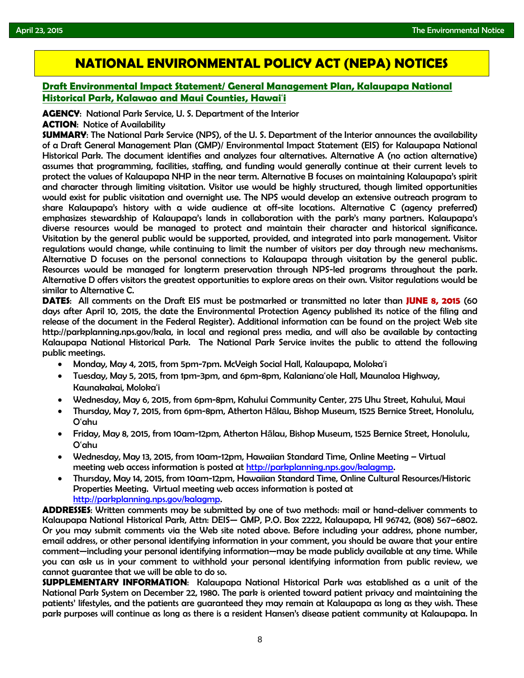# **NATIONAL ENVIRONMENTAL POLICY ACT (NEPA) NOTICES**

## **[Draft Environmental Impact Statement/ General Management Plan, Kalaupapa National](http://www.gpo.gov/fdsys/pkg/FR-2015-04-10/pdf/2015-08270.pdf)  [Historical Park, Kalawao and Maui Counties, Hawai](http://www.gpo.gov/fdsys/pkg/FR-2015-04-10/pdf/2015-08270.pdf)**'**i**

**AGENCY**: National Park Service, U. S. Department of the Interior

### **ACTION**: Notice of Availability

**SUMMARY**: The National Park Service (NPS), of the U. S. Department of the Interior announces the availability of a Draft General Management Plan (GMP)/ Environmental Impact Statement (EIS) for Kalaupapa National Historical Park. The document identifies and analyzes four alternatives. Alternative A (no action alternative) assumes that programming, facilities, staffing, and funding would generally continue at their current levels to protect the values of Kalaupapa NHP in the near term. Alternative B focuses on maintaining Kalaupapa's spirit and character through limiting visitation. Visitor use would be highly structured, though limited opportunities would exist for public visitation and overnight use. The NPS would develop an extensive outreach program to share Kalaupapa's history with a wide audience at off-site locations. Alternative C (agency preferred) emphasizes stewardship of Kalaupapa's lands in collaboration with the park's many partners. Kalaupapa's diverse resources would be managed to protect and maintain their character and historical significance. Visitation by the general public would be supported, provided, and integrated into park management. Visitor regulations would change, while continuing to limit the number of visitors per day through new mechanisms. Alternative D focuses on the personal connections to Kalaupapa through visitation by the general public. Resources would be managed for longterm preservation through NPS-led programs throughout the park. Alternative D offers visitors the greatest opportunities to explore areas on their own. Visitor regulations would be similar to Alternative C.

**DATES**: All comments on the Draft EIS must be postmarked or transmitted no later than **JUNE 8, 2015** (60 days after April 10, 2015, the date the Environmental Protection Agency published its notice of the filing and release of the document in the Federal Register). Additional information can be found on the project Web site http://parkplanning.nps.gov/kala, in local and regional press media, and will also be available by contacting Kalaupapa National Historical Park. The National Park Service invites the public to attend the following public meetings.

- Monday, May 4, 2015, from 5pm-7pm. McVeigh Social Hall, Kalaupapa, Moloka'i
- Tuesday, May 5, 2015, from 1pm-3pm, and 6pm-8pm, Kalaniana'ole Hall, Maunaloa Highway, Kaunakakai, Moloka'i
- Wednesday, May 6, 2015, from 6pm-8pm, Kahului Community Center, 275 Uhu Street, Kahului, Maui
- Thursday, May 7, 2015, from 6pm-8pm, Atherton Hālau, Bishop Museum, 1525 Bernice Street, Honolulu, O'ahu
- Friday, May 8, 2015, from 10am-12pm, Atherton Hālau, Bishop Museum, 1525 Bernice Street, Honolulu, O'ahu
- Wednesday, May 13, 2015, from 10am-12pm, Hawaiian Standard Time, Online Meeting Virtual meeting web access information is posted at [http://parkplanning.nps.gov/kalagmp.](http://parkplanning.nps.gov/kalagmp)
- Thursday, May 14, 2015, from 10am-12pm, Hawaiian Standard Time, Online Cultural Resources/Historic Properties Meeting. Virtual meeting web access information is posted at [http://parkplanning.nps.gov/kalagmp.](http://parkplanning.nps.gov/kalagmp)

**ADDRESSES**: Written comments may be submitted by one of two methods: mail or hand-deliver comments to Kalaupapa National Historical Park, Attn: DEIS— GMP, P.O. Box 2222, Kalaupapa, HI 96742, (808) 567–6802. Or you may submit comments via the Web site noted above. Before including your address, phone number, email address, or other personal identifying information in your comment, you should be aware that your entire comment—including your personal identifying information—may be made publicly available at any time. While you can ask us in your comment to withhold your personal identifying information from public review, we cannot guarantee that we will be able to do so.

**SUPPLEMENTARY INFORMATION**: Kalaupapa National Historical Park was established as a unit of the National Park System on December 22, 1980. The park is oriented toward patient privacy and maintaining the patients' lifestyles, and the patients are guaranteed they may remain at Kalaupapa as long as they wish. These park purposes will continue as long as there is a resident Hansen's disease patient community at Kalaupapa. In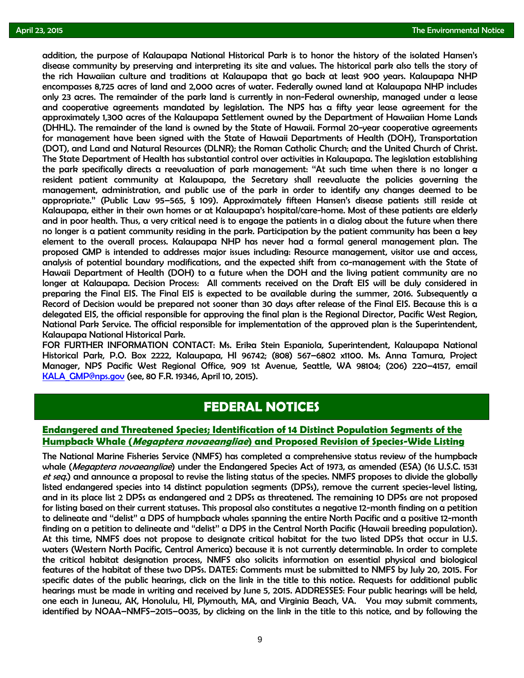addition, the purpose of Kalaupapa National Historical Park is to honor the history of the isolated Hansen's<br>disease community by preserving and interpreting its site and values. The historical park also tells the story of disease community by preserving and interpreting its site and values. The historical park also tells the story of the rich Hawaiian culture and traditions at Kalaupapa that go back at least 900 years. Kalaupapa NHP encompasses 8,725 acres of land and 2,000 acres of water. Federally owned land at Kalaupapa NHP includes only 23 acres. The remainder of the park land is currently in non-Federal ownership, managed under a lease and cooperative agreements mandated by legislation. The NPS has a fifty year lease agreement for the approximately 1,300 acres of the Kalaupapa Settlement owned by the Department of Hawaiian Home Lands (DHHL). The remainder of the land is owned by the State of Hawaii. Formal 20-year cooperative agreements for management have been signed with the State of Hawaii Departments of Health (DOH), Transportation (DOT), and Land and Natural Resources (DLNR); the Roman Catholic Church; and the United Church of Christ. The State Department of Health has substantial control over activities in Kalaupapa. The legislation establishing the park specifically directs a reevaluation of park management: ''At such time when there is no longer a resident patient community at Kalaupapa, the Secretary shall reevaluate the policies governing the management, administration, and public use of the park in order to identify any changes deemed to be appropriate.'' (Public Law 95–565, § 109). Approximately fifteen Hansen's disease patients still reside at Kalaupapa, either in their own homes or at Kalaupapa's hospital/care-home. Most of these patients are elderly and in poor health. Thus, a very critical need is to engage the patients in a dialog about the future when there no longer is a patient community residing in the park. Participation by the patient community has been a key element to the overall process. Kalaupapa NHP has never had a formal general management plan. The proposed GMP is intended to addresses major issues including: Resource management, visitor use and access, analysis of potential boundary modifications, and the expected shift from co-management with the State of Hawaii Department of Health (DOH) to a future when the DOH and the living patient community are no longer at Kalaupapa. Decision Process: All comments received on the Draft EIS will be duly considered in preparing the Final EIS. The Final EIS is expected to be available during the summer, 2016. Subsequently a Record of Decision would be prepared not sooner than 30 days after release of the Final EIS. Because this is a delegated EIS, the official responsible for approving the final plan is the Regional Director, Pacific West Region, National Park Service. The official responsible for implementation of the approved plan is the Superintendent, Kalaupapa National Historical Park.

FOR FURTHER INFORMATION CONTACT: Ms. Erika Stein Espaniola, Superintendent, Kalaupapa National Historical Park, P.O. Box 2222, Kalaupapa, HI 96742; (808) 567–6802 x1100. Ms. Anna Tamura, Project Manager, NPS Pacific West Regional Office, 909 1st Avenue, Seattle, WA 98104; (206) 220–4157, email KALA GMP@nps.gov (see, 80 F.R. 19346, April 10, 2015).

## **FEDERAL NOTICES**

### **[Endangered and Threatened Species; Identification of 14 Distinct Population Segments of the](http://www.gpo.gov/fdsys/pkg/FR-2015-04-21/pdf/2015-09010.pdf)  Humpback Whale (Megaptera novaeangliae[\) and Proposed Revision of Species-Wide Listing](http://www.gpo.gov/fdsys/pkg/FR-2015-04-21/pdf/2015-09010.pdf)**

The National Marine Fisheries Service (NMFS) has completed a comprehensive status review of the humpback whale (*Megaptera novaeangliae*) under the Endangered Species Act of 1973, as amended (ESA) (16 U.S.C. 1531 et seq.) and announce a proposal to revise the listing status of the species. NMFS proposes to divide the globally listed endangered species into 14 distinct population segments (DPSs), remove the current species-level listing, and in its place list 2 DPSs as endangered and 2 DPSs as threatened. The remaining 10 DPSs are not proposed for listing based on their current statuses. This proposal also constitutes a negative 12-month finding on a petition to delineate and ''delist'' a DPS of humpback whales spanning the entire North Pacific and a positive 12-month finding on a petition to delineate and ''delist'' a DPS in the Central North Pacific (Hawaii breeding population). At this time, NMFS does not propose to designate critical habitat for the two listed DPSs that occur in U.S. waters (Western North Pacific, Central America) because it is not currently determinable. In order to complete the critical habitat designation process, NMFS also solicits information on essential physical and biological features of the habitat of these two DPSs. DATES: Comments must be submitted to NMFS by July 20, 2015. For specific dates of the public hearings, click on the link in the title to this notice. Requests for additional public hearings must be made in writing and received by June 5, 2015. ADDRESSES: Four public hearings will be held, one each in Juneau, AK, Honolulu, HI, Plymouth, MA, and Virginia Beach, VA. You may submit comments, identified by NOAA–NMFS–2015–0035, by clicking on the link in the title to this notice, and by following the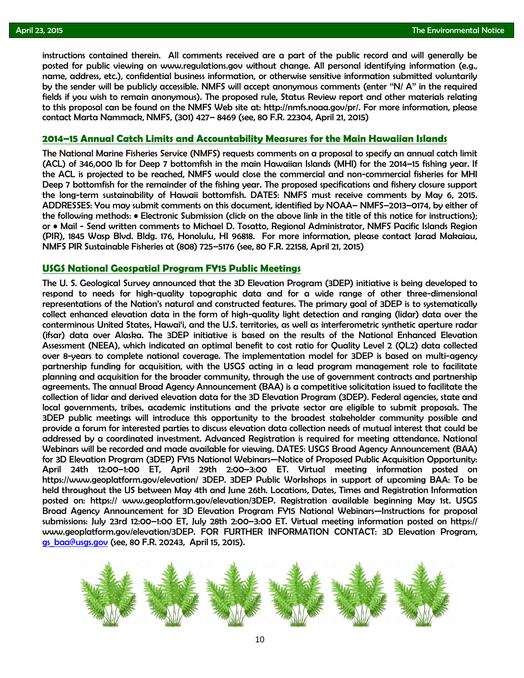instructions contained therein. All comments received are a part of the public record and will generally be<br>posted for public viewing on www.regulations.gov without change. All personal identifying information (e.g., posted for public viewing on www.regulations.gov without change. All personal identifying information (e.g., name, address, etc.), confidential business information, or otherwise sensitive information submitted voluntarily by the sender will be publicly accessible. NMFS will accept anonymous comments (enter ''N/ A'' in the required fields if you wish to remain anonymous). The proposed rule, Status Review report and other materials relating to this proposal can be found on the NMFS Web site at: http://nmfs.noaa.gov/pr/. For more information, please contact Marta Nammack, NMFS, (301) 427– 8469 (see, 80 F.R. 22304, April 21, 2015)

### **[2014–15 Annual Catch Limits and Accountability Measures for the Main Hawaiian Islands](http://www.gpo.gov/fdsys/pkg/FR-2015-04-21/pdf/2015-09055.pdf)**

The National Marine Fisheries Service (NMFS) requests comments on a proposal to specify an annual catch limit (ACL) of 346,000 lb for Deep 7 bottomfish in the main Hawaiian Islands (MHI) for the 2014–15 fishing year. If the ACL is projected to be reached, NMFS would close the commercial and non-commercial fisheries for MHI Deep 7 bottomfish for the remainder of the fishing year. The proposed specifications and fishery closure support the long-term sustainability of Hawaii bottomfish. DATES: NMFS must receive comments by May 6, 2015. ADDRESSES: You may submit comments on this document, identified by NOAA– NMFS–2013–0174, by either of the following methods: • Electronic Submission (click on the above link in the title of this notice for instructions); or • Mail - Send written comments to Michael D. Tosatto, Regional Administrator, NMFS Pacific Islands Region (PIR), 1845 Wasp Blvd. Bldg. 176, Honolulu, HI 96818. For more information, please contact Jarad Makaiau, NMFS PIR Sustainable Fisheries at (808) 725–5176 (see, 80 F.R. 22158, April 21, 2015)

### **[USGS National Geospatial Program FY15 Public Meetings](http://www.gpo.gov/fdsys/pkg/FR-2015-04-15/pdf/2015-08668.pdf)**

The U. S. Geological Survey announced that the 3D Elevation Program (3DEP) initiative is being developed to respond to needs for high-quality topographic data and for a wide range of other three-dimensional representations of the Nation's natural and constructed features. The primary goal of 3DEP is to systematically collect enhanced elevation data in the form of high-quality light detection and ranging (lidar) data over the conterminous United States, Hawai'i, and the U.S. territories, as well as interferometric synthetic aperture radar (ifsar) data over Alaska. The 3DEP initiative is based on the results of the National Enhanced Elevation Assessment (NEEA), which indicated an optimal benefit to cost ratio for Quality Level 2 (QL2) data collected over 8-years to complete national coverage. The implementation model for 3DEP is based on multi-agency partnership funding for acquisition, with the USGS acting in a lead program management role to facilitate planning and acquisition for the broader community, through the use of government contracts and partnership agreements. The annual Broad Agency Announcement (BAA) is a competitive solicitation issued to facilitate the collection of lidar and derived elevation data for the 3D Elevation Program (3DEP). Federal agencies, state and local governments, tribes, academic institutions and the private sector are eligible to submit proposals. The 3DEP public meetings will introduce this opportunity to the broadest stakeholder community possible and provide a forum for interested parties to discuss elevation data collection needs of mutual interest that could be addressed by a coordinated investment. Advanced Registration is required for meeting attendance. National Webinars will be recorded and made available for viewing. DATES: USGS Broad Agency Announcement (BAA) for 3D Elevation Program (3DEP) FY15 National Webinars—Notice of Proposed Public Acquisition Opportunity: April 24th 12:00–1:00 ET, April 29th 2:00–3:00 ET. Virtual meeting information posted on https://www.geoplatform.gov/elevation/ 3DEP. 3DEP Public Workshops in support of upcoming BAA: To be held throughout the US between May 4th and June 26th. Locations, Dates, Times and Registration Information posted on: https:// www.geoplatform.gov/elevation/3DEP. Registration available beginning May 1st. USGS Broad Agency Announcement for 3D Elevation Program FY15 National Webinars—Instructions for proposal submissions: July 23rd 12:00–1:00 ET, July 28th 2:00–3:00 ET. Virtual meeting information posted on https:// www.geoplatform.gov/elevation/3DEP. FOR FURTHER INFORMATION CONTACT: 3D Elevation Program, [gs\\_baa@usgs.gov](mailto:gs_baa@usgs.gov) (see, 80 F.R. 20243, April 15, 2015).